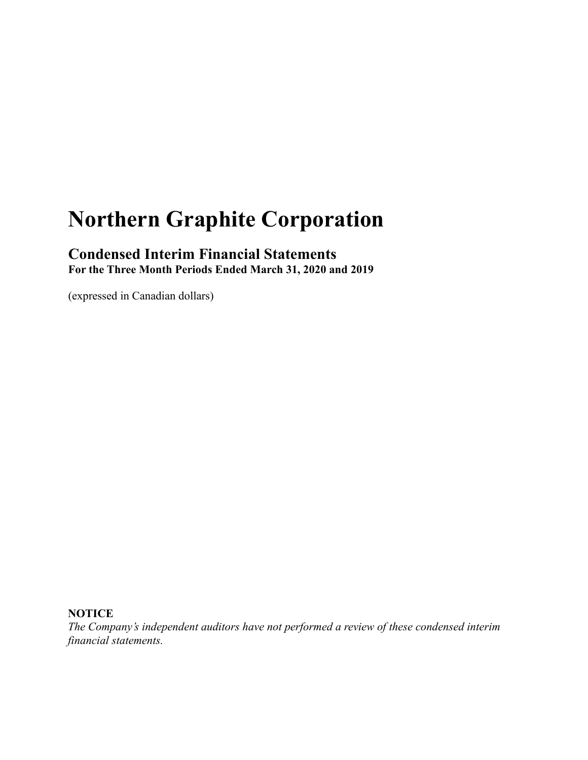# **Northern Graphite Corporation**

# **Condensed Interim Financial Statements For the Three Month Periods Ended March 31, 2020 and 2019**

(expressed in Canadian dollars)

# **NOTICE**

*The Company's independent auditors have not performed a review of these condensed interim financial statements.*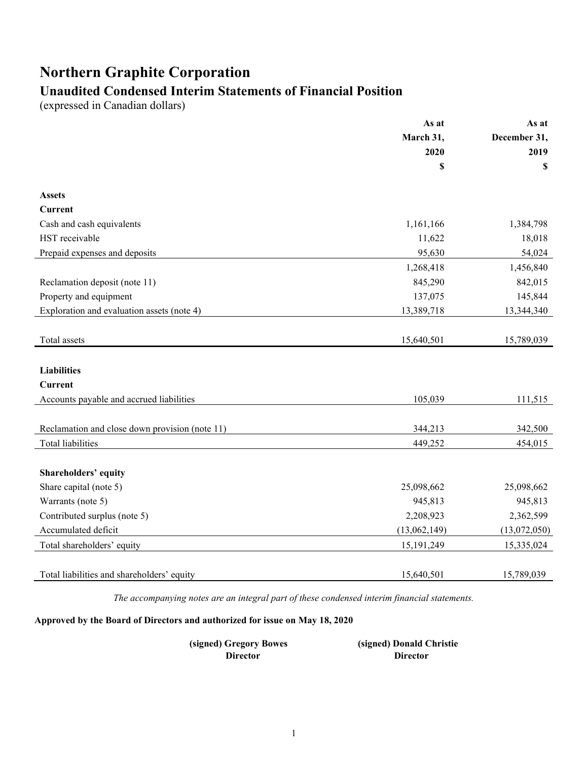# **Northern Graphite Corporation**

# **Unaudited Condensed Interim Statements of Financial Position**

(expressed in Canadian dollars)

|                                                | As at             | As at<br>December 31,<br>2019 |  |
|------------------------------------------------|-------------------|-------------------------------|--|
|                                                | March 31,<br>2020 |                               |  |
|                                                |                   |                               |  |
|                                                | \$                | \$                            |  |
| <b>Assets</b>                                  |                   |                               |  |
| <b>Current</b>                                 |                   |                               |  |
| Cash and cash equivalents                      | 1,161,166         | 1,384,798                     |  |
| HST receivable                                 | 11,622            | 18,018                        |  |
| Prepaid expenses and deposits                  | 95,630            | 54,024                        |  |
|                                                | 1,268,418         | 1,456,840                     |  |
| Reclamation deposit (note 11)                  | 845,290           | 842,015                       |  |
| Property and equipment                         | 137,075           | 145,844                       |  |
| Exploration and evaluation assets (note 4)     | 13,389,718        | 13,344,340                    |  |
|                                                |                   |                               |  |
| Total assets                                   | 15,640,501        | 15,789,039                    |  |
|                                                |                   |                               |  |
| <b>Liabilities</b>                             |                   |                               |  |
| <b>Current</b>                                 |                   |                               |  |
| Accounts payable and accrued liabilities       | 105,039           | 111,515                       |  |
|                                                |                   |                               |  |
| Reclamation and close down provision (note 11) | 344,213           | 342,500                       |  |
| <b>Total liabilities</b>                       | 449,252           | 454,015                       |  |
|                                                |                   |                               |  |
| Shareholders' equity                           |                   |                               |  |
| Share capital (note 5)                         | 25,098,662        | 25,098,662                    |  |
| Warrants (note 5)                              | 945,813           | 945,813                       |  |
| Contributed surplus (note 5)                   | 2,208,923         | 2,362,599                     |  |
| Accumulated deficit                            | (13,062,149)      | (13,072,050)                  |  |
| Total shareholders' equity                     | 15, 191, 249      | 15,335,024                    |  |
|                                                |                   |                               |  |
| Total liabilities and shareholders' equity     | 15,640,501        | 15,789,039                    |  |

*The accompanying notes are an integral part of these condensed interim financial statements.*

**Approved by the Board of Directors and authorized for issue on May 18, 2020**

**(signed) Gregory Bowes (signed) Donald Christie Director Director**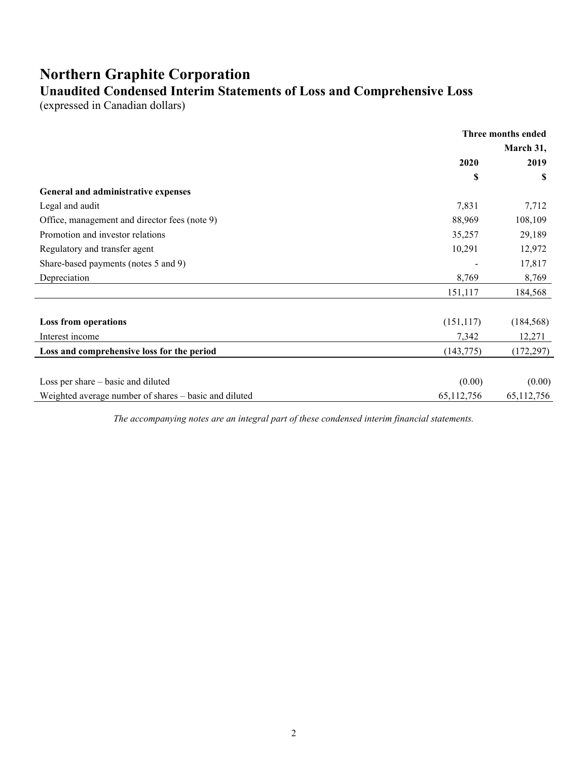# **Northern Graphite Corporation Unaudited Condensed Interim Statements of Loss and Comprehensive Loss**

(expressed in Canadian dollars)

|                                                       | Three months ended |            |
|-------------------------------------------------------|--------------------|------------|
|                                                       | March 31,          |            |
|                                                       | 2020               | 2019       |
|                                                       | \$                 | S          |
| General and administrative expenses                   |                    |            |
| Legal and audit                                       | 7,831              | 7,712      |
| Office, management and director fees (note 9)         | 88,969             | 108,109    |
| Promotion and investor relations                      | 35,257             | 29,189     |
| Regulatory and transfer agent                         | 10,291             | 12,972     |
| Share-based payments (notes 5 and 9)                  |                    | 17,817     |
| Depreciation                                          | 8,769              | 8,769      |
|                                                       | 151,117            | 184,568    |
| Loss from operations                                  | (151, 117)         | (184, 568) |
| Interest income                                       | 7,342              | 12,271     |
| Loss and comprehensive loss for the period            | (143, 775)         | (172, 297) |
|                                                       |                    |            |
| Loss per share – basic and diluted                    | (0.00)             | (0.00)     |
| Weighted average number of shares - basic and diluted | 65,112,756         | 65,112,756 |

*The accompanying notes are an integral part of these condensed interim financial statements.*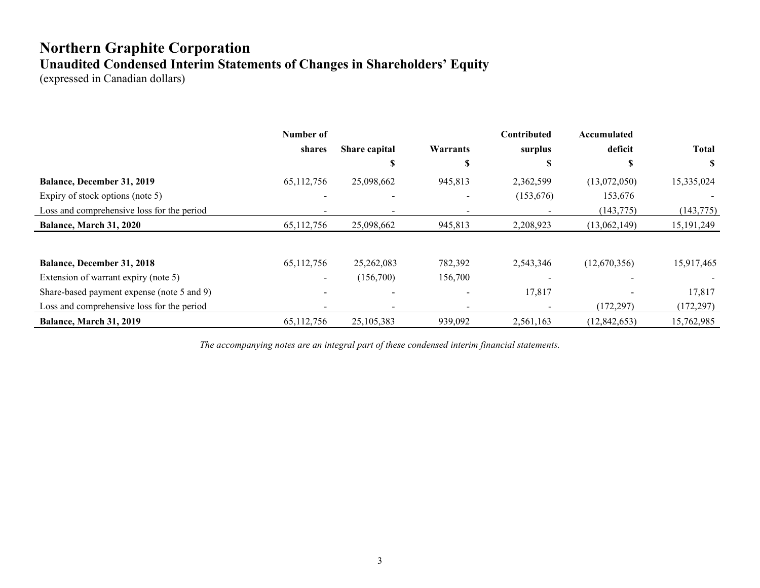# **Northern Graphite Corporation Unaudited Condensed Interim Statements of Changes in Shareholders' Equity**

(expressed in Canadian dollars)

|                                            | Number of    |               |          | Contributed | Accumulated    |              |
|--------------------------------------------|--------------|---------------|----------|-------------|----------------|--------------|
|                                            | shares       | Share capital | Warrants | surplus     | deficit        | <b>Total</b> |
|                                            |              | J.            | Ъ.       | S           | ٠T             | S            |
| Balance, December 31, 2019                 | 65,112,756   | 25,098,662    | 945,813  | 2,362,599   | (13,072,050)   | 15,335,024   |
| Expiry of stock options (note 5)           |              |               |          | (153, 676)  | 153,676        |              |
| Loss and comprehensive loss for the period |              |               |          |             | (143,775)      | (143, 775)   |
| <b>Balance, March 31, 2020</b>             | 65, 112, 756 | 25,098,662    | 945,813  | 2,208,923   | (13,062,149)   | 15, 191, 249 |
|                                            |              |               |          |             |                |              |
| <b>Balance, December 31, 2018</b>          | 65,112,756   | 25,262,083    | 782,392  | 2,543,346   | (12,670,356)   | 15,917,465   |
| Extension of warrant expiry (note 5)       | $\sim$       | (156,700)     | 156,700  |             |                |              |
| Share-based payment expense (note 5 and 9) |              |               |          | 17,817      |                | 17,817       |
| Loss and comprehensive loss for the period |              |               |          |             | (172, 297)     | (172, 297)   |
| <b>Balance, March 31, 2019</b>             | 65,112,756   | 25, 105, 383  | 939,092  | 2.561.163   | (12, 842, 653) | 15,762,985   |

*The accompanying notes are an integral part of these condensed interim financial statements.*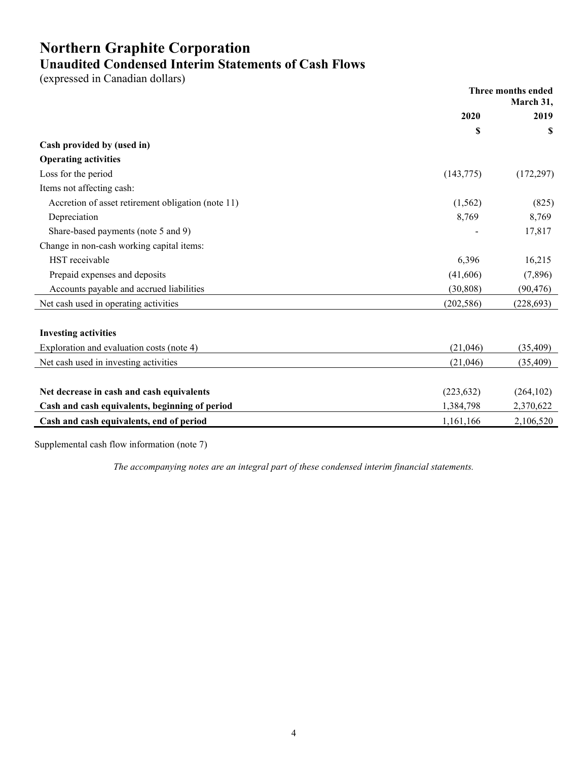# **Northern Graphite Corporation Unaudited Condensed Interim Statements of Cash Flows**

(expressed in Canadian dollars)

|                                                    | Three months ended<br>March 31, |            |
|----------------------------------------------------|---------------------------------|------------|
|                                                    | 2020                            | 2019       |
|                                                    | \$                              | S          |
| Cash provided by (used in)                         |                                 |            |
| <b>Operating activities</b>                        |                                 |            |
| Loss for the period                                | (143,775)                       | (172, 297) |
| Items not affecting cash:                          |                                 |            |
| Accretion of asset retirement obligation (note 11) | (1, 562)                        | (825)      |
| Depreciation                                       | 8,769                           | 8,769      |
| Share-based payments (note 5 and 9)                |                                 | 17,817     |
| Change in non-cash working capital items:          |                                 |            |
| HST receivable                                     | 6,396                           | 16,215     |
| Prepaid expenses and deposits                      | (41,606)                        | (7,896)    |
| Accounts payable and accrued liabilities           | (30, 808)                       | (90, 476)  |
| Net cash used in operating activities              | (202, 586)                      | (228, 693) |
|                                                    |                                 |            |
| <b>Investing activities</b>                        |                                 |            |
| Exploration and evaluation costs (note 4)          | (21,046)                        | (35, 409)  |
| Net cash used in investing activities              | (21,046)                        | (35, 409)  |
|                                                    |                                 |            |
| Net decrease in cash and cash equivalents          | (223, 632)                      | (264, 102) |
| Cash and cash equivalents, beginning of period     | 1,384,798                       | 2,370,622  |
| Cash and cash equivalents, end of period           | 1,161,166                       | 2,106,520  |
|                                                    |                                 |            |

Supplemental cash flow information (note 7)

*The accompanying notes are an integral part of these condensed interim financial statements.*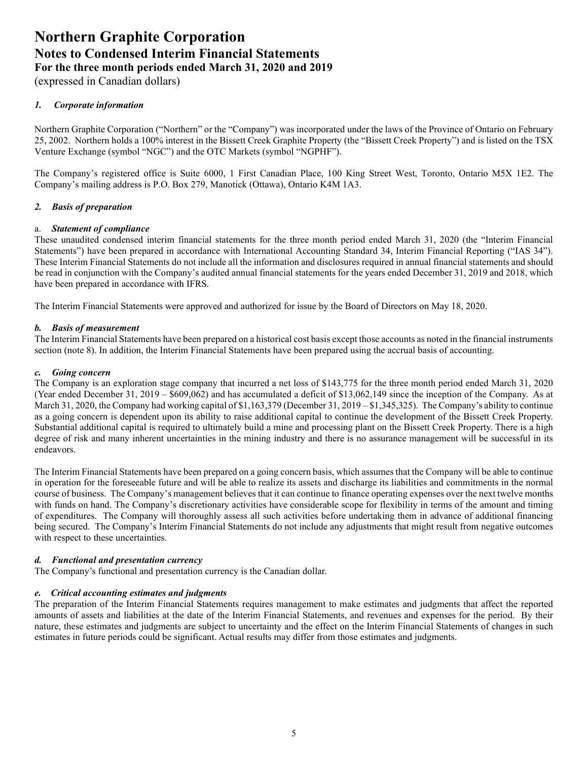(expressed in Canadian dollars)

# *1. Corporate information*

Northern Graphite Corporation ("Northern" or the "Company") was incorporated under the laws of the Province of Ontario on February 25, 2002. Northern holds a 100% interest in the Bissett Creek Graphite Property (the "Bissett Creek Property") and is listed on the TSX Venture Exchange (symbol "NGC") and the OTC Markets (symbol "NGPHF").

The Company's registered office is Suite 6000, 1 First Canadian Place, 100 King Street West, Toronto, Ontario M5X 1E2. The Company's mailing address is P.O. Box 279, Manotick (Ottawa), Ontario K4M 1A3.

# *2. Basis of preparation*

### a. *Statement of compliance*

These unaudited condensed interim financial statements for the three month period ended March 31, 2020 (the "Interim Financial Statements") have been prepared in accordance with International Accounting Standard 34, Interim Financial Reporting ("IAS 34"). These Interim Financial Statements do not include all the information and disclosures required in annual financial statements and should be read in conjunction with the Company's audited annual financial statements for the years ended December 31, 2019 and 2018, which have been prepared in accordance with IFRS.

The Interim Financial Statements were approved and authorized for issue by the Board of Directors on May 18, 2020.

# *b. Basis of measurement*

The Interim Financial Statements have been prepared on a historical cost basis except those accounts as noted in the financial instruments section (note 8). In addition, the Interim Financial Statements have been prepared using the accrual basis of accounting.

### *c. Going concern*

The Company is an exploration stage company that incurred a net loss of \$143,775 for the three month period ended March 31, 2020 (Year ended December 31, 2019 – \$609,062) and has accumulated a deficit of \$13,062,149 since the inception of the Company. As at March 31, 2020, the Company had working capital of \$1,163,379 (December 31, 2019 – \$1,345,325). The Company's ability to continue as a going concern is dependent upon its ability to raise additional capital to continue the development of the Bissett Creek Property. Substantial additional capital is required to ultimately build a mine and processing plant on the Bissett Creek Property. There is a high degree of risk and many inherent uncertainties in the mining industry and there is no assurance management will be successful in its endeavors.

The Interim Financial Statements have been prepared on a going concern basis, which assumes that the Company will be able to continue in operation for the foreseeable future and will be able to realize its assets and discharge its liabilities and commitments in the normal course of business. The Company's management believes that it can continue to finance operating expenses over the next twelve months with funds on hand. The Company's discretionary activities have considerable scope for flexibility in terms of the amount and timing of expenditures. The Company will thoroughly assess all such activities before undertaking them in advance of additional financing being secured. The Company's Interim Financial Statements do not include any adjustments that might result from negative outcomes with respect to these uncertainties.

### *d. Functional and presentation currency*

The Company's functional and presentation currency is the Canadian dollar.

### *e. Critical accounting estimates and judgments*

The preparation of the Interim Financial Statements requires management to make estimates and judgments that affect the reported amounts of assets and liabilities at the date of the Interim Financial Statements, and revenues and expenses for the period. By their nature, these estimates and judgments are subject to uncertainty and the effect on the Interim Financial Statements of changes in such estimates in future periods could be significant. Actual results may differ from those estimates and judgments.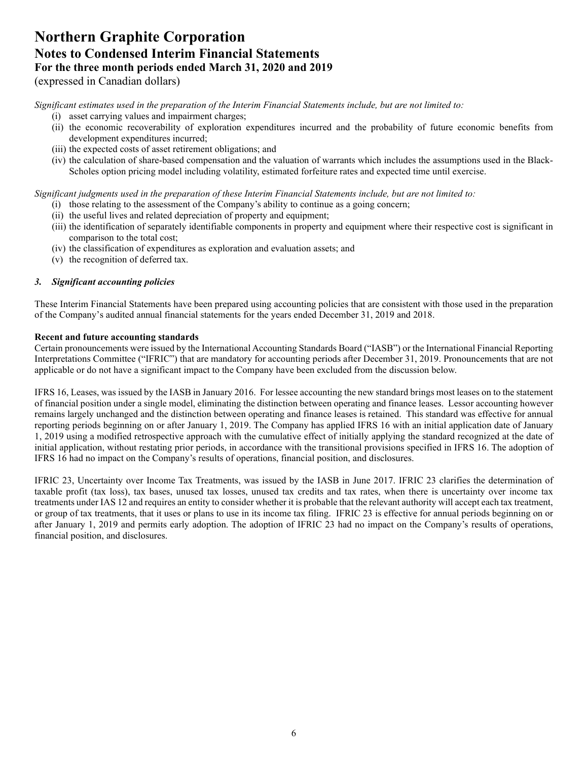(expressed in Canadian dollars)

*Significant estimates used in the preparation of the Interim Financial Statements include, but are not limited to:* 

- (i) asset carrying values and impairment charges;
- (ii) the economic recoverability of exploration expenditures incurred and the probability of future economic benefits from development expenditures incurred;
- (iii) the expected costs of asset retirement obligations; and
- (iv) the calculation of share-based compensation and the valuation of warrants which includes the assumptions used in the Black-Scholes option pricing model including volatility, estimated forfeiture rates and expected time until exercise.

*Significant judgments used in the preparation of these Interim Financial Statements include, but are not limited to:* 

- (i) those relating to the assessment of the Company's ability to continue as a going concern;
- (ii) the useful lives and related depreciation of property and equipment;
- (iii) the identification of separately identifiable components in property and equipment where their respective cost is significant in comparison to the total cost;
- (iv) the classification of expenditures as exploration and evaluation assets; and
- (v) the recognition of deferred tax.

# *3. Significant accounting policies*

These Interim Financial Statements have been prepared using accounting policies that are consistent with those used in the preparation of the Company's audited annual financial statements for the years ended December 31, 2019 and 2018.

### **Recent and future accounting standards**

Certain pronouncements were issued by the International Accounting Standards Board ("IASB") or the International Financial Reporting Interpretations Committee ("IFRIC") that are mandatory for accounting periods after December 31, 2019. Pronouncements that are not applicable or do not have a significant impact to the Company have been excluded from the discussion below.

IFRS 16, Leases, was issued by the IASB in January 2016. For lessee accounting the new standard brings most leases on to the statement of financial position under a single model, eliminating the distinction between operating and finance leases. Lessor accounting however remains largely unchanged and the distinction between operating and finance leases is retained. This standard was effective for annual reporting periods beginning on or after January 1, 2019. The Company has applied IFRS 16 with an initial application date of January 1, 2019 using a modified retrospective approach with the cumulative effect of initially applying the standard recognized at the date of initial application, without restating prior periods, in accordance with the transitional provisions specified in IFRS 16. The adoption of IFRS 16 had no impact on the Company's results of operations, financial position, and disclosures.

IFRIC 23, Uncertainty over Income Tax Treatments, was issued by the IASB in June 2017. IFRIC 23 clarifies the determination of taxable profit (tax loss), tax bases, unused tax losses, unused tax credits and tax rates, when there is uncertainty over income tax treatments under IAS 12 and requires an entity to consider whether it is probable that the relevant authority will accept each tax treatment, or group of tax treatments, that it uses or plans to use in its income tax filing. IFRIC 23 is effective for annual periods beginning on or after January 1, 2019 and permits early adoption. The adoption of IFRIC 23 had no impact on the Company's results of operations, financial position, and disclosures.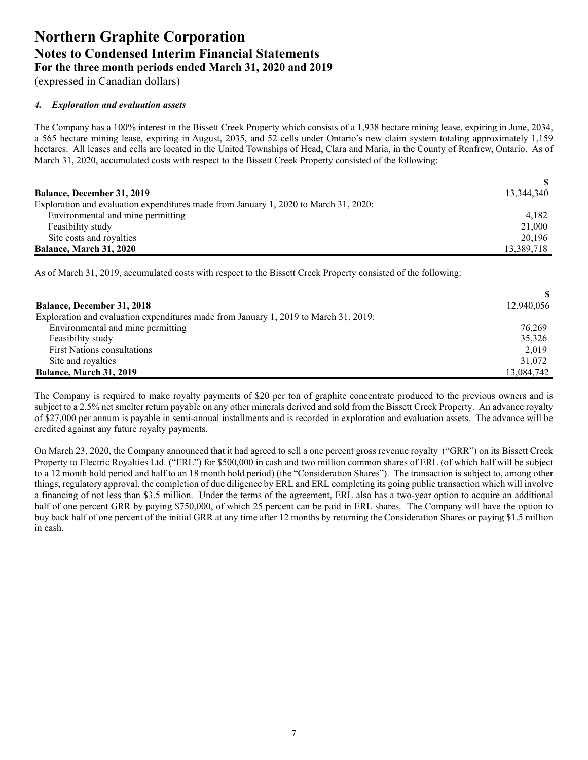(expressed in Canadian dollars)

### *4. Exploration and evaluation assets*

The Company has a 100% interest in the Bissett Creek Property which consists of a 1,938 hectare mining lease, expiring in June, 2034, a 565 hectare mining lease, expiring in August, 2035, and 52 cells under Ontario's new claim system totaling approximately 1,159 hectares. All leases and cells are located in the United Townships of Head, Clara and Maria, in the County of Renfrew, Ontario. As of March 31, 2020, accumulated costs with respect to the Bissett Creek Property consisted of the following:

| <b>Balance, December 31, 2019</b>                                                    | 13,344,340 |
|--------------------------------------------------------------------------------------|------------|
| Exploration and evaluation expenditures made from January 1, 2020 to March 31, 2020: |            |
| Environmental and mine permitting                                                    | 4.182      |
| Feasibility study                                                                    | 21,000     |
| Site costs and royalties                                                             | 20,196     |
| Balance, March 31, 2020                                                              | 13,389,718 |

As of March 31, 2019, accumulated costs with respect to the Bissett Creek Property consisted of the following:

| <b>Balance, December 31, 2018</b>                                                    | 12,940,056 |
|--------------------------------------------------------------------------------------|------------|
| Exploration and evaluation expenditures made from January 1, 2019 to March 31, 2019: |            |
| Environmental and mine permitting                                                    | 76,269     |
| Feasibility study                                                                    | 35,326     |
| <b>First Nations consultations</b>                                                   | 2,019      |
| Site and royalties                                                                   | 31,072     |
| Balance, March 31, 2019                                                              | 13,084,742 |

The Company is required to make royalty payments of \$20 per ton of graphite concentrate produced to the previous owners and is subject to a 2.5% net smelter return payable on any other minerals derived and sold from the Bissett Creek Property. An advance royalty of \$27,000 per annum is payable in semi-annual installments and is recorded in exploration and evaluation assets. The advance will be credited against any future royalty payments.

On March 23, 2020, the Company announced that it had agreed to sell a one percent gross revenue royalty ("GRR") on its Bissett Creek Property to Electric Royalties Ltd. ("ERL") for \$500,000 in cash and two million common shares of ERL (of which half will be subject to a 12 month hold period and half to an 18 month hold period) (the "Consideration Shares"). The transaction is subject to, among other things, regulatory approval, the completion of due diligence by ERL and ERL completing its going public transaction which will involve a financing of not less than \$3.5 million. Under the terms of the agreement, ERL also has a two-year option to acquire an additional half of one percent GRR by paying \$750,000, of which 25 percent can be paid in ERL shares. The Company will have the option to buy back half of one percent of the initial GRR at any time after 12 months by returning the Consideration Shares or paying \$1.5 million in cash.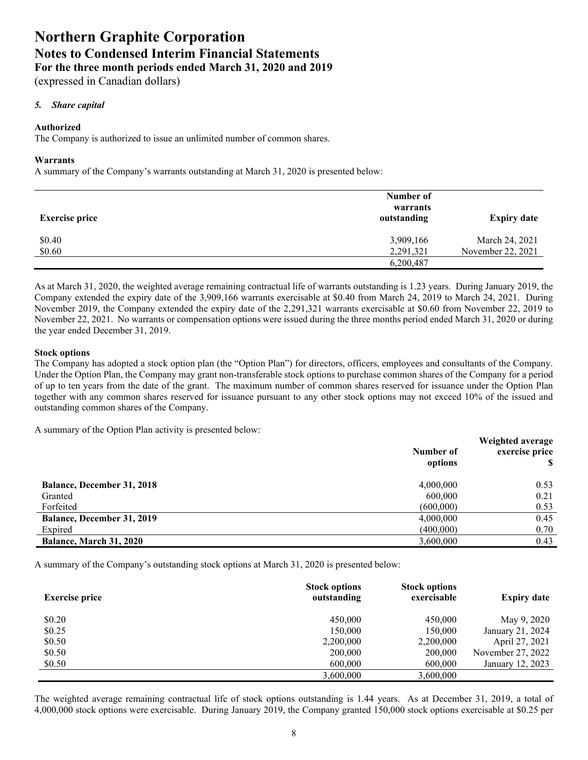(expressed in Canadian dollars)

### *5. Share capital*

#### **Authorized**

The Company is authorized to issue an unlimited number of common shares.

#### **Warrants**

A summary of the Company's warrants outstanding at March 31, 2020 is presented below:

| <b>Exercise price</b> | Number of<br>warrants<br>outstanding | <b>Expiry date</b> |
|-----------------------|--------------------------------------|--------------------|
| \$0.40                | 3,909,166                            | March 24, 2021     |
| \$0.60                | 2,291,321                            | November 22, 2021  |
|                       | 6,200,487                            |                    |

As at March 31, 2020, the weighted average remaining contractual life of warrants outstanding is 1.23 years. During January 2019, the Company extended the expiry date of the 3,909,166 warrants exercisable at \$0.40 from March 24, 2019 to March 24, 2021. During November 2019, the Company extended the expiry date of the 2,291,321 warrants exercisable at \$0.60 from November 22, 2019 to November 22, 2021. No warrants or compensation options were issued during the three months period ended March 31, 2020 or during the year ended December 31, 2019.

#### **Stock options**

The Company has adopted a stock option plan (the "Option Plan") for directors, officers, employees and consultants of the Company. Under the Option Plan, the Company may grant non-transferable stock options to purchase common shares of the Company for a period of up to ten years from the date of the grant. The maximum number of common shares reserved for issuance under the Option Plan together with any common shares reserved for issuance pursuant to any other stock options may not exceed 10% of the issued and outstanding common shares of the Company.

A summary of the Option Plan activity is presented below:

|                                   | Number of<br>options | Weighted average<br>exercise price |
|-----------------------------------|----------------------|------------------------------------|
| <b>Balance, December 31, 2018</b> | 4,000,000            | 0.53                               |
| Granted                           | 600,000              | 0.21                               |
| Forfeited                         | (600,000)            | 0.53                               |
| Balance, December 31, 2019        | 4,000,000            | 0.45                               |
| Expired                           | (400,000)            | 0.70                               |
| Balance, March 31, 2020           | 3,600,000            | 0.43                               |

A summary of the Company's outstanding stock options at March 31, 2020 is presented below:

| <b>Exercise price</b> | <b>Stock options</b><br>outstanding | <b>Stock options</b><br>exercisable | <b>Expiry date</b> |
|-----------------------|-------------------------------------|-------------------------------------|--------------------|
| \$0.20                | 450,000                             | 450,000                             | May 9, 2020        |
| \$0.25                | 150,000                             | 150,000                             | January 21, 2024   |
| \$0.50                | 2,200,000                           | 2,200,000                           | April 27, 2021     |
| \$0.50                | 200,000                             | 200,000                             | November 27, 2022  |
| \$0.50                | 600,000                             | 600,000                             | January 12, 2023   |
|                       | 3,600,000                           | 3.600.000                           |                    |

The weighted average remaining contractual life of stock options outstanding is 1.44 years. As at December 31, 2019, a total of 4,000,000 stock options were exercisable. During January 2019, the Company granted 150,000 stock options exercisable at \$0.25 per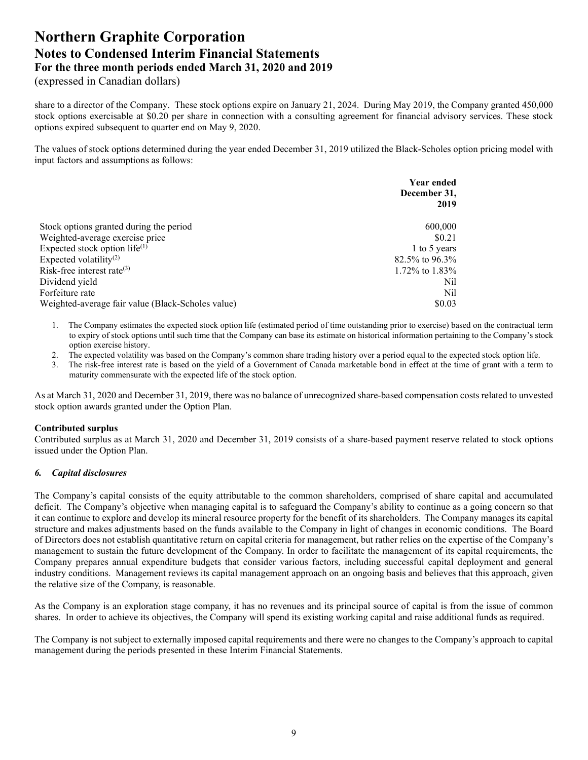(expressed in Canadian dollars)

share to a director of the Company. These stock options expire on January 21, 2024. During May 2019, the Company granted 450,000 stock options exercisable at \$0.20 per share in connection with a consulting agreement for financial advisory services. These stock options expired subsequent to quarter end on May 9, 2020.

The values of stock options determined during the year ended December 31, 2019 utilized the Black-Scholes option pricing model with input factors and assumptions as follows:

|                                                   | Year ended<br>December 31, |  |
|---------------------------------------------------|----------------------------|--|
|                                                   | 2019                       |  |
|                                                   |                            |  |
| Stock options granted during the period           | 600,000                    |  |
| Weighted-average exercise price                   | \$0.21                     |  |
| Expected stock option life $^{(1)}$               | 1 to 5 years               |  |
| Expected volatility <sup>(2)</sup>                | $82.5\%$ to 96.3%          |  |
| Risk-free interest rate $(3)$                     | 1.72% to 1.83%             |  |
| Dividend yield                                    | Nil                        |  |
| Forfeiture rate                                   | Nil.                       |  |
| Weighted-average fair value (Black-Scholes value) | \$0.03                     |  |

1. The Company estimates the expected stock option life (estimated period of time outstanding prior to exercise) based on the contractual term to expiry of stock options until such time that the Company can base its estimate on historical information pertaining to the Company's stock option exercise history.

2. The expected volatility was based on the Company's common share trading history over a period equal to the expected stock option life.

3. The risk-free interest rate is based on the yield of a Government of Canada marketable bond in effect at the time of grant with a term to maturity commensurate with the expected life of the stock option.

As at March 31, 2020 and December 31, 2019, there was no balance of unrecognized share-based compensation costs related to unvested stock option awards granted under the Option Plan.

### **Contributed surplus**

Contributed surplus as at March 31, 2020 and December 31, 2019 consists of a share-based payment reserve related to stock options issued under the Option Plan.

### *6. Capital disclosures*

The Company's capital consists of the equity attributable to the common shareholders, comprised of share capital and accumulated deficit. The Company's objective when managing capital is to safeguard the Company's ability to continue as a going concern so that it can continue to explore and develop its mineral resource property for the benefit of its shareholders. The Company manages its capital structure and makes adjustments based on the funds available to the Company in light of changes in economic conditions. The Board of Directors does not establish quantitative return on capital criteria for management, but rather relies on the expertise of the Company's management to sustain the future development of the Company. In order to facilitate the management of its capital requirements, the Company prepares annual expenditure budgets that consider various factors, including successful capital deployment and general industry conditions. Management reviews its capital management approach on an ongoing basis and believes that this approach, given the relative size of the Company, is reasonable.

As the Company is an exploration stage company, it has no revenues and its principal source of capital is from the issue of common shares. In order to achieve its objectives, the Company will spend its existing working capital and raise additional funds as required.

The Company is not subject to externally imposed capital requirements and there were no changes to the Company's approach to capital management during the periods presented in these Interim Financial Statements.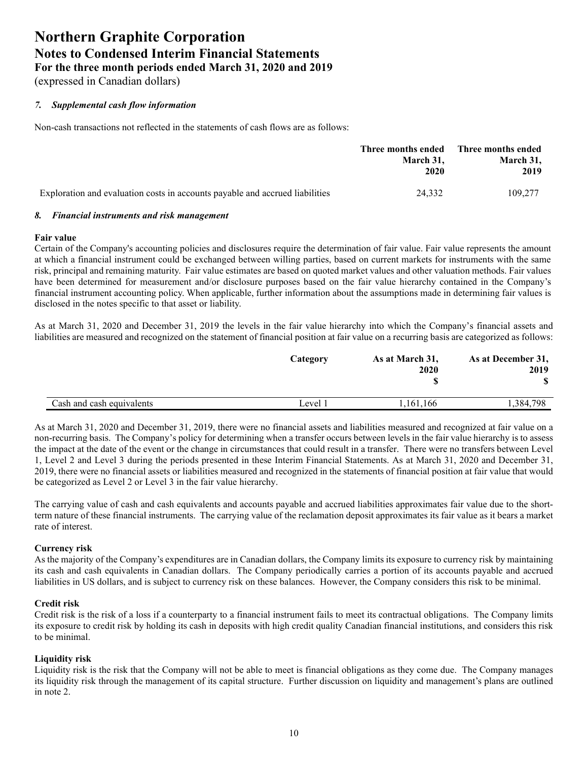(expressed in Canadian dollars)

# *7. Supplemental cash flow information*

Non-cash transactions not reflected in the statements of cash flows are as follows:

|                                                                              | Three months ended Three months ended<br>March 31.<br>2020 | March 31,<br>2019 |
|------------------------------------------------------------------------------|------------------------------------------------------------|-------------------|
| Exploration and evaluation costs in accounts payable and accrued liabilities | 24.332                                                     | 109,277           |

# *8. Financial instruments and risk management*

#### **Fair value**

Certain of the Company's accounting policies and disclosures require the determination of fair value. Fair value represents the amount at which a financial instrument could be exchanged between willing parties, based on current markets for instruments with the same risk, principal and remaining maturity. Fair value estimates are based on quoted market values and other valuation methods. Fair values have been determined for measurement and/or disclosure purposes based on the fair value hierarchy contained in the Company's financial instrument accounting policy. When applicable, further information about the assumptions made in determining fair values is disclosed in the notes specific to that asset or liability.

As at March 31, 2020 and December 31, 2019 the levels in the fair value hierarchy into which the Company's financial assets and liabilities are measured and recognized on the statement of financial position at fair value on a recurring basis are categorized as follows:

|                           | Category | As at March 31,<br>2020 | As at December 31,<br>2019 |
|---------------------------|----------|-------------------------|----------------------------|
| Cash and cash equivalents | Level 1  | .161.166                | .384,798                   |

As at March 31, 2020 and December 31, 2019, there were no financial assets and liabilities measured and recognized at fair value on a non-recurring basis. The Company's policy for determining when a transfer occurs between levels in the fair value hierarchy is to assess the impact at the date of the event or the change in circumstances that could result in a transfer. There were no transfers between Level 1, Level 2 and Level 3 during the periods presented in these Interim Financial Statements. As at March 31, 2020 and December 31, 2019, there were no financial assets or liabilities measured and recognized in the statements of financial position at fair value that would be categorized as Level 2 or Level 3 in the fair value hierarchy.

The carrying value of cash and cash equivalents and accounts payable and accrued liabilities approximates fair value due to the shortterm nature of these financial instruments. The carrying value of the reclamation deposit approximates its fair value as it bears a market rate of interest.

### **Currency risk**

As the majority of the Company's expenditures are in Canadian dollars, the Company limits its exposure to currency risk by maintaining its cash and cash equivalents in Canadian dollars. The Company periodically carries a portion of its accounts payable and accrued liabilities in US dollars, and is subject to currency risk on these balances. However, the Company considers this risk to be minimal.

### **Credit risk**

Credit risk is the risk of a loss if a counterparty to a financial instrument fails to meet its contractual obligations. The Company limits its exposure to credit risk by holding its cash in deposits with high credit quality Canadian financial institutions, and considers this risk to be minimal.

### **Liquidity risk**

Liquidity risk is the risk that the Company will not be able to meet is financial obligations as they come due. The Company manages its liquidity risk through the management of its capital structure. Further discussion on liquidity and management's plans are outlined in note 2.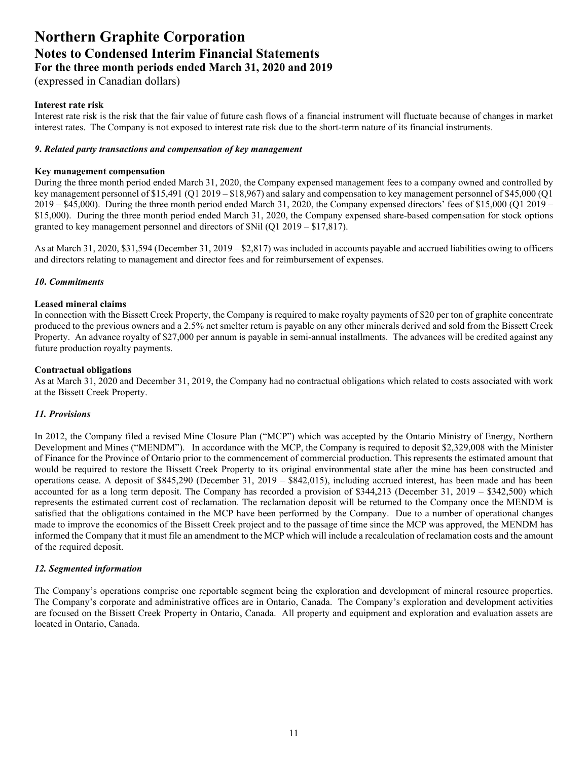(expressed in Canadian dollars)

### **Interest rate risk**

Interest rate risk is the risk that the fair value of future cash flows of a financial instrument will fluctuate because of changes in market interest rates. The Company is not exposed to interest rate risk due to the short-term nature of its financial instruments.

#### *9***.** *Related party transactions and compensation of key management*

#### **Key management compensation**

During the three month period ended March 31, 2020, the Company expensed management fees to a company owned and controlled by key management personnel of \$15,491 (Q1 2019 – \$18,967) and salary and compensation to key management personnel of \$45,000 (Q1 2019 – \$45,000). During the three month period ended March 31, 2020, the Company expensed directors' fees of \$15,000 (Q1 2019 – \$15,000). During the three month period ended March 31, 2020, the Company expensed share-based compensation for stock options granted to key management personnel and directors of \$Nil (Q1 2019 – \$17,817).

As at March 31, 2020, \$31,594 (December 31, 2019 – \$2,817) was included in accounts payable and accrued liabilities owing to officers and directors relating to management and director fees and for reimbursement of expenses.

### *10***.** *Commitments*

#### **Leased mineral claims**

In connection with the Bissett Creek Property, the Company is required to make royalty payments of \$20 per ton of graphite concentrate produced to the previous owners and a 2.5% net smelter return is payable on any other minerals derived and sold from the Bissett Creek Property. An advance royalty of \$27,000 per annum is payable in semi-annual installments. The advances will be credited against any future production royalty payments.

#### **Contractual obligations**

As at March 31, 2020 and December 31, 2019, the Company had no contractual obligations which related to costs associated with work at the Bissett Creek Property.

### *11. Provisions*

In 2012, the Company filed a revised Mine Closure Plan ("MCP") which was accepted by the Ontario Ministry of Energy, Northern Development and Mines ("MENDM"). In accordance with the MCP, the Company is required to deposit \$2,329,008 with the Minister of Finance for the Province of Ontario prior to the commencement of commercial production. This represents the estimated amount that would be required to restore the Bissett Creek Property to its original environmental state after the mine has been constructed and operations cease. A deposit of \$845,290 (December 31, 2019 – \$842,015), including accrued interest, has been made and has been accounted for as a long term deposit. The Company has recorded a provision of \$344,213 (December 31, 2019 – \$342,500) which represents the estimated current cost of reclamation. The reclamation deposit will be returned to the Company once the MENDM is satisfied that the obligations contained in the MCP have been performed by the Company. Due to a number of operational changes made to improve the economics of the Bissett Creek project and to the passage of time since the MCP was approved, the MENDM has informed the Company that it must file an amendment to the MCP which will include a recalculation of reclamation costs and the amount of the required deposit.

#### *12. Segmented information*

The Company's operations comprise one reportable segment being the exploration and development of mineral resource properties. The Company's corporate and administrative offices are in Ontario, Canada. The Company's exploration and development activities are focused on the Bissett Creek Property in Ontario, Canada. All property and equipment and exploration and evaluation assets are located in Ontario, Canada.